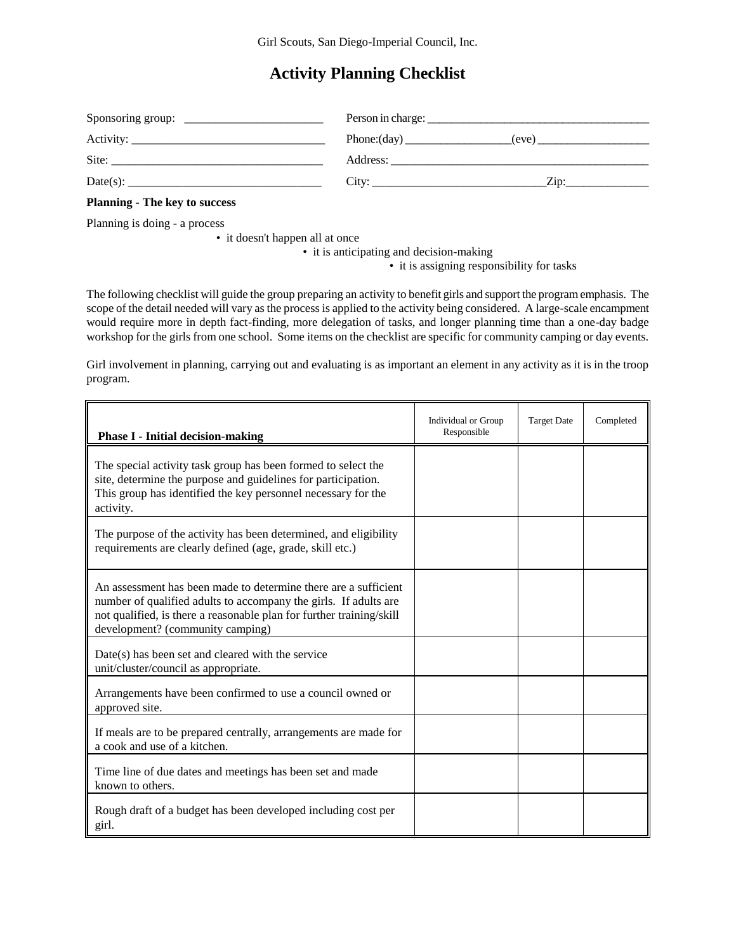## **Activity Planning Checklist**

| Sponsoring group:<br><u> 1980 - Jan James James Barnett, fransk politik (d. 1980)</u> | Person in charge: $\overline{\phantom{a}}$ | <u> 1980 - Jan Barnett, fransk politik (d. 1980)</u> |
|---------------------------------------------------------------------------------------|--------------------------------------------|------------------------------------------------------|
|                                                                                       |                                            |                                                      |
| Site:                                                                                 |                                            |                                                      |
| $Date(s)$ :                                                                           | City:                                      | $Z$ in:                                              |

## **Planning - The key to success**

Planning is doing - a process

• it doesn't happen all at once

• it is anticipating and decision-making

• it is assigning responsibility for tasks

The following checklist will guide the group preparing an activity to benefit girls and support the program emphasis. The scope of the detail needed will vary as the process is applied to the activity being considered. A large-scale encampment would require more in depth fact-finding, more delegation of tasks, and longer planning time than a one-day badge workshop for the girls from one school. Some items on the checklist are specific for community camping or day events.

Girl involvement in planning, carrying out and evaluating is as important an element in any activity as it is in the troop program.

| <b>Phase I - Initial decision-making</b>                                                                                                                                                                                                        | Individual or Group<br>Responsible | <b>Target Date</b> | Completed |
|-------------------------------------------------------------------------------------------------------------------------------------------------------------------------------------------------------------------------------------------------|------------------------------------|--------------------|-----------|
| The special activity task group has been formed to select the<br>site, determine the purpose and guidelines for participation.<br>This group has identified the key personnel necessary for the<br>activity.                                    |                                    |                    |           |
| The purpose of the activity has been determined, and eligibility<br>requirements are clearly defined (age, grade, skill etc.)                                                                                                                   |                                    |                    |           |
| An assessment has been made to determine there are a sufficient<br>number of qualified adults to accompany the girls. If adults are<br>not qualified, is there a reasonable plan for further training/skill<br>development? (community camping) |                                    |                    |           |
| Date(s) has been set and cleared with the service<br>unit/cluster/council as appropriate.                                                                                                                                                       |                                    |                    |           |
| Arrangements have been confirmed to use a council owned or<br>approved site.                                                                                                                                                                    |                                    |                    |           |
| If meals are to be prepared centrally, arrangements are made for<br>a cook and use of a kitchen.                                                                                                                                                |                                    |                    |           |
| Time line of due dates and meetings has been set and made<br>known to others.                                                                                                                                                                   |                                    |                    |           |
| Rough draft of a budget has been developed including cost per<br>girl.                                                                                                                                                                          |                                    |                    |           |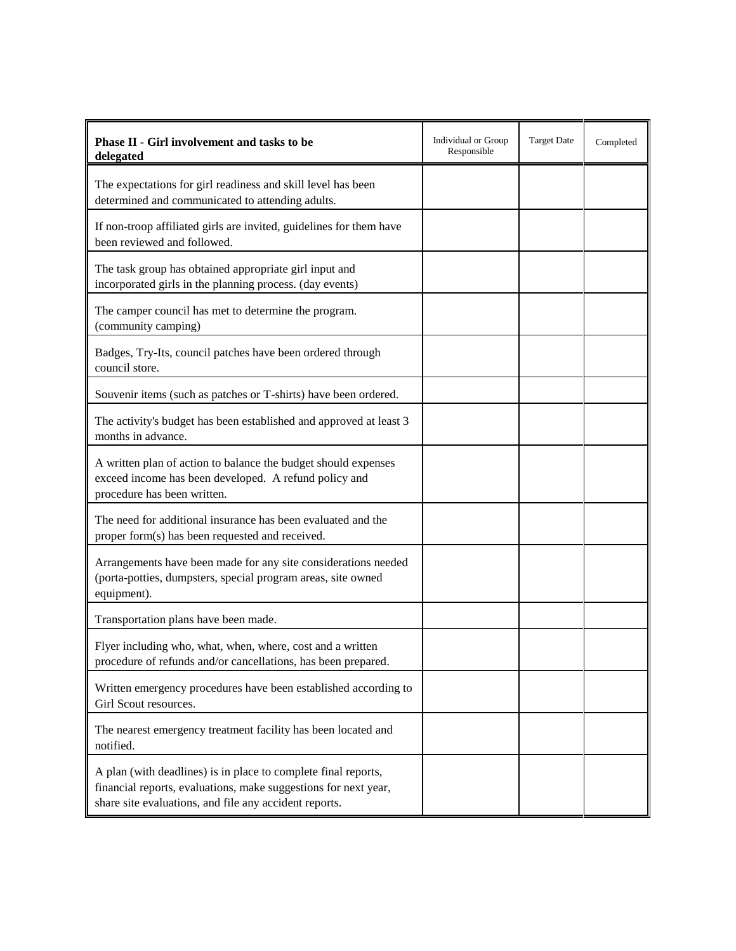| Phase II - Girl involvement and tasks to be<br>delegated                                                                                                                                    | Individual or Group<br>Responsible | <b>Target Date</b> | Completed |
|---------------------------------------------------------------------------------------------------------------------------------------------------------------------------------------------|------------------------------------|--------------------|-----------|
| The expectations for girl readiness and skill level has been<br>determined and communicated to attending adults.                                                                            |                                    |                    |           |
| If non-troop affiliated girls are invited, guidelines for them have<br>been reviewed and followed.                                                                                          |                                    |                    |           |
| The task group has obtained appropriate girl input and<br>incorporated girls in the planning process. (day events)                                                                          |                                    |                    |           |
| The camper council has met to determine the program.<br>(community camping)                                                                                                                 |                                    |                    |           |
| Badges, Try-Its, council patches have been ordered through<br>council store.                                                                                                                |                                    |                    |           |
| Souvenir items (such as patches or T-shirts) have been ordered.                                                                                                                             |                                    |                    |           |
| The activity's budget has been established and approved at least 3<br>months in advance.                                                                                                    |                                    |                    |           |
| A written plan of action to balance the budget should expenses<br>exceed income has been developed. A refund policy and<br>procedure has been written.                                      |                                    |                    |           |
| The need for additional insurance has been evaluated and the<br>proper form(s) has been requested and received.                                                                             |                                    |                    |           |
| Arrangements have been made for any site considerations needed<br>(porta-potties, dumpsters, special program areas, site owned<br>equipment).                                               |                                    |                    |           |
| Transportation plans have been made.                                                                                                                                                        |                                    |                    |           |
| Flyer including who, what, when, where, cost and a written<br>procedure of refunds and/or cancellations, has been prepared.                                                                 |                                    |                    |           |
| Written emergency procedures have been established according to<br>Girl Scout resources.                                                                                                    |                                    |                    |           |
| The nearest emergency treatment facility has been located and<br>notified.                                                                                                                  |                                    |                    |           |
| A plan (with deadlines) is in place to complete final reports,<br>financial reports, evaluations, make suggestions for next year,<br>share site evaluations, and file any accident reports. |                                    |                    |           |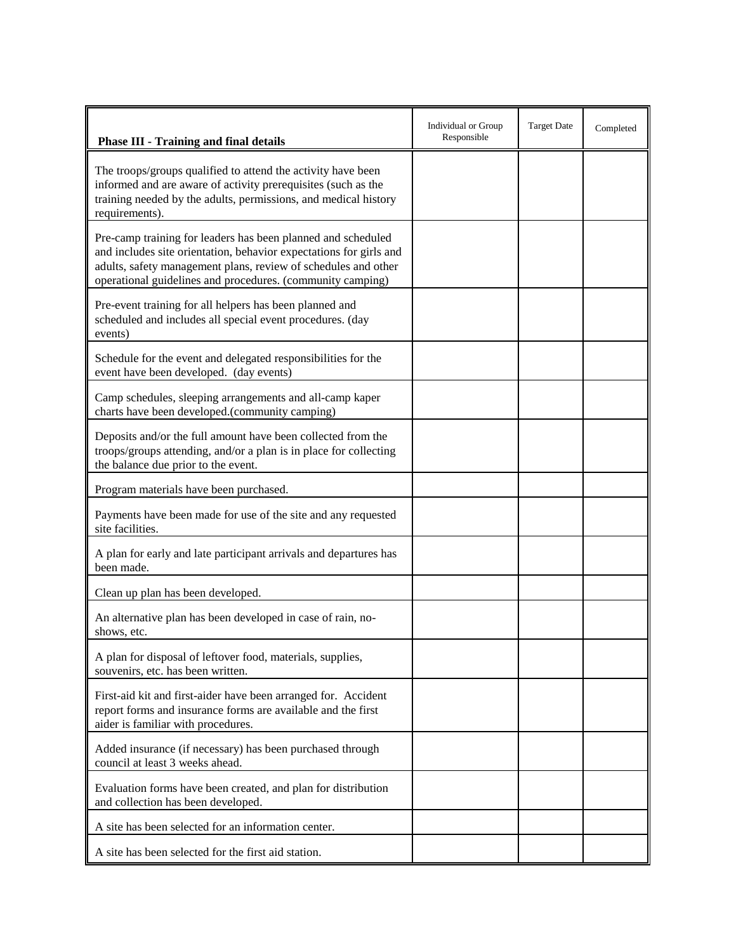| <b>Phase III - Training and final details</b>                                                                                                                                                                                                                      | Individual or Group<br>Responsible | <b>Target Date</b> | Completed |
|--------------------------------------------------------------------------------------------------------------------------------------------------------------------------------------------------------------------------------------------------------------------|------------------------------------|--------------------|-----------|
| The troops/groups qualified to attend the activity have been<br>informed and are aware of activity prerequisites (such as the<br>training needed by the adults, permissions, and medical history<br>requirements).                                                 |                                    |                    |           |
| Pre-camp training for leaders has been planned and scheduled<br>and includes site orientation, behavior expectations for girls and<br>adults, safety management plans, review of schedules and other<br>operational guidelines and procedures. (community camping) |                                    |                    |           |
| Pre-event training for all helpers has been planned and<br>scheduled and includes all special event procedures. (day<br>events)                                                                                                                                    |                                    |                    |           |
| Schedule for the event and delegated responsibilities for the<br>event have been developed. (day events)                                                                                                                                                           |                                    |                    |           |
| Camp schedules, sleeping arrangements and all-camp kaper<br>charts have been developed.(community camping)                                                                                                                                                         |                                    |                    |           |
| Deposits and/or the full amount have been collected from the<br>troops/groups attending, and/or a plan is in place for collecting<br>the balance due prior to the event.                                                                                           |                                    |                    |           |
| Program materials have been purchased.                                                                                                                                                                                                                             |                                    |                    |           |
| Payments have been made for use of the site and any requested<br>site facilities.                                                                                                                                                                                  |                                    |                    |           |
| A plan for early and late participant arrivals and departures has<br>been made.                                                                                                                                                                                    |                                    |                    |           |
| Clean up plan has been developed.                                                                                                                                                                                                                                  |                                    |                    |           |
| An alternative plan has been developed in case of rain, no-<br>shows, etc.                                                                                                                                                                                         |                                    |                    |           |
| A plan for disposal of leftover food, materials, supplies,<br>souvenirs, etc. has been written.                                                                                                                                                                    |                                    |                    |           |
| First-aid kit and first-aider have been arranged for. Accident<br>report forms and insurance forms are available and the first<br>aider is familiar with procedures.                                                                                               |                                    |                    |           |
| Added insurance (if necessary) has been purchased through<br>council at least 3 weeks ahead.                                                                                                                                                                       |                                    |                    |           |
| Evaluation forms have been created, and plan for distribution<br>and collection has been developed.                                                                                                                                                                |                                    |                    |           |
| A site has been selected for an information center.                                                                                                                                                                                                                |                                    |                    |           |
| A site has been selected for the first aid station.                                                                                                                                                                                                                |                                    |                    |           |